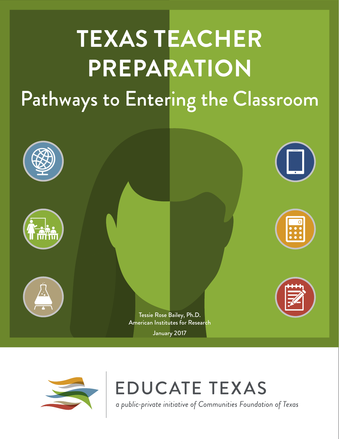# **TEXAS TEACHER PREPARATION** Pathways to Entering the Classroom





**EDUCATE TEXAS** 

a public-private initiative of Communities Foundation of Texas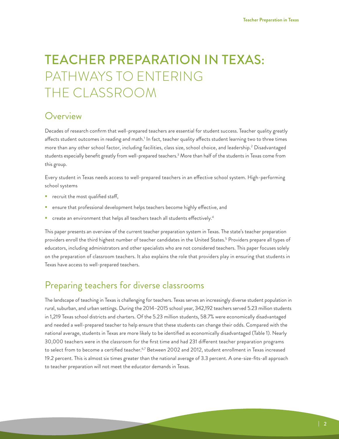## TEACHER PREPARATION IN TEXAS: PATHWAYS TO ENTERING THE CLASSROOM

### **Overview**

Decades of research confirm that well-prepared teachers are essential for student success. Teacher quality greatly affects student outcomes in reading and math.' In fact, teacher quality affects student learning two to three times more than any other school factor, including facilities, class size, school choice, and leadership.2 Disadvantaged students especially benefit greatly from well-prepared teachers.3 More than half of the students in Texas come from this group.

Every student in Texas needs access to well-prepared teachers in an effective school system. High-performing school systems

- **P** recruit the most qualified staff,
- ensure that professional development helps teachers become highly effective, and
- $\blacksquare$  create an environment that helps all teachers teach all students effectively.<sup>4</sup>

This paper presents an overview of the current teacher preparation system in Texas. The state's teacher preparation providers enroll the third highest number of teacher candidates in the United States.<sup>5</sup> Providers prepare all types of educators, including administrators and other specialists who are not considered teachers. This paper focuses solely on the preparation of classroom teachers. It also explains the role that providers play in ensuring that students in Texas have access to well-prepared teachers.

### Preparing teachers for diverse classrooms

The landscape of teaching in Texas is challenging for teachers. Texas serves an increasingly diverse student population in rural, suburban, and urban settings. During the 2014–2015 school year, 342,192 teachers served 5.23 million students in 1,219 Texas school districts and charters. Of the 5.23 million students, 58.7% were economically disadvantaged and needed a well-prepared teacher to help ensure that these students can change their odds. Compared with the national average, students in Texas are more likely to be identified as economically disadvantaged (Table 1). Nearly 30,000 teachers were in the classroom for the first time and had 231 different teacher preparation programs to select from to become a certified teacher.<sup>6,7</sup> Between 2002 and 2012, student enrollment in Texas increased 19.2 percent. This is almost six times greater than the national average of 3.3 percent. A one-size-fits-all approach to teacher preparation will not meet the educator demands in Texas.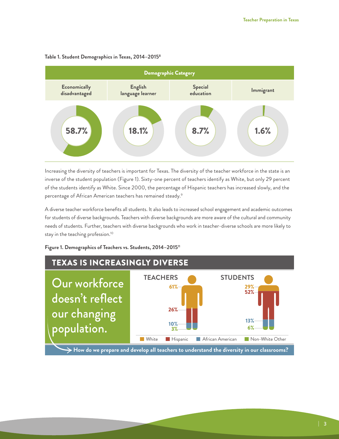

#### **Table 1. Student Demographics in Texas, 2014–20158**

Increasing the diversity of teachers is important for Texas. The diversity of the teacher workforce in the state is an inverse of the student population (Figure 1). Sixty-one percent of teachers identify as White, but only 29 percent of the students identify as White. Since 2000, the percentage of Hispanic teachers has increased slowly, and the percentage of African American teachers has remained steady.<sup>9</sup>

A diverse teacher workforce benefits all students. It also leads to increased school engagement and academic outcomes for students of diverse backgrounds. Teachers with diverse backgrounds are more aware of the cultural and community needs of students. Further, teachers with diverse backgrounds who work in teacher-diverse schools are more likely to stay in the teaching profession.10

**Figure 1. Demographics of Teachers vs. Students, 2014–201511**

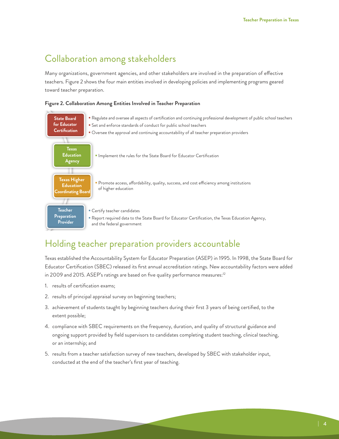### Collaboration among stakeholders

Many organizations, government agencies, and other stakeholders are involved in the preparation of effective teachers. Figure 2 shows the four main entities involved in developing policies and implementing programs geared toward teacher preparation.

**Figure 2. Collaboration Among Entities Involved in Teacher Preparation**



### Holding teacher preparation providers accountable

Texas established the Accountability System for Educator Preparation (ASEP) in 1995. In 1998, the State Board for Educator Certification (SBEC) released its first annual accreditation ratings. New accountability factors were added in 2009 and 2015. ASEP's ratings are based on five quality performance measures:<sup>12</sup>

- 1. results of certification exams;
- 2. results of principal appraisal survey on beginning teachers;
- 3. achievement of students taught by beginning teachers during their first 3 years of being certified, to the extent possible;
- 4. compliance with SBEC requirements on the frequency, duration, and quality of structural guidance and ongoing support provided by field supervisors to candidates completing student teaching, clinical teaching, or an internship; and
- 5. results from a teacher satisfaction survey of new teachers, developed by SBEC with stakeholder input, conducted at the end of the teacher's first year of teaching.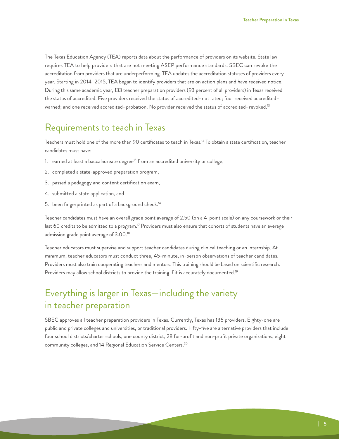The Texas Education Agency (TEA) reports data about the performance of providers on its website. State law requires TEA to help providers that are not meeting ASEP performance standards. SBEC can revoke the accreditation from providers that are underperforming. TEA updates the accreditation statuses of providers every year. Starting in 2014–2015, TEA began to identify providers that are on action plans and have received notice. During this same academic year, 133 teacher preparation providers (93 percent of all providers) in Texas received the status of accredited. Five providers received the status of accredited–not rated; four received accredited– warned; and one received accredited-probation. No provider received the status of accredited-revoked.<sup>13</sup>

### Requirements to teach in Texas

Teachers must hold one of the more than 90 certificates to teach in Texas.14 To obtain a state certification, teacher candidates must have:

- 1. earned at least a baccalaureate degree<sup>15</sup> from an accredited university or college,
- 2. completed a state-approved preparation program,
- 3. passed a pedagogy and content certification exam,
- 4. submitted a state application, and
- 5. been fingerprinted as part of a background check.**<sup>16</sup>**

Teacher candidates must have an overall grade point average of 2.50 (on a 4-point scale) on any coursework or their last 60 credits to be admitted to a program.<sup>17</sup> Providers must also ensure that cohorts of students have an average admission grade point average of 3.00.18

Teacher educators must supervise and support teacher candidates during clinical teaching or an internship. At minimum, teacher educators must conduct three, 45-minute, in-person observations of teacher candidates. Providers must also train cooperating teachers and mentors. This training should be based on scientific research. Providers may allow school districts to provide the training if it is accurately documented.<sup>19</sup>

### Everything is larger in Texas—including the variety in teacher preparation

SBEC approves all teacher preparation providers in Texas. Currently, Texas has 136 providers. Eighty-one are public and private colleges and universities, or traditional providers. Fifty-five are alternative providers that include four school districts/charter schools, one county district, 28 for-profit and non-profit private organizations, eight community colleges, and 14 Regional Education Service Centers.20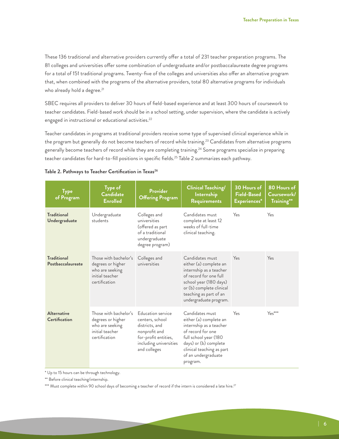These 136 traditional and alternative providers currently offer a total of 231 teacher preparation programs. The 81 colleges and universities offer some combination of undergraduate and/or postbaccalaureate degree programs for a total of 151 traditional programs. Twenty-five of the colleges and universities also offer an alternative program that, when combined with the programs of the alternative providers, total 80 alternative programs for individuals who already hold a degree.<sup>21</sup>

SBEC requires all providers to deliver 30 hours of field-based experience and at least 300 hours of coursework to teacher candidates. Field-based work should be in a school setting, under supervision, where the candidate is actively engaged in instructional or educational activities.<sup>22</sup>

Teacher candidates in programs at traditional providers receive some type of supervised clinical experience while in the program but generally do not become teachers of record while training.<sup>23</sup> Candidates from alternative programs generally become teachers of record while they are completing training.<sup>24</sup> Some programs specialize in preparing teacher candidates for hard-to-fill positions in specific fields.<sup>25</sup> Table 2 summarizes each pathway.

| <b>Type</b><br>of Program                  | Type of<br><b>Candidate</b><br><b>Enrolled</b>                                                                                        | <b>Provider</b><br><b>Offering Program</b>                                                                                                | <b>Clinical Teaching/</b><br><b>Internship</b><br>Requirements                                                                                                                                              | 30 Hours of<br><b>Field-Based</b><br>Experiences* | 80 Hours of<br>Coursework/<br>Training** |  |
|--------------------------------------------|---------------------------------------------------------------------------------------------------------------------------------------|-------------------------------------------------------------------------------------------------------------------------------------------|-------------------------------------------------------------------------------------------------------------------------------------------------------------------------------------------------------------|---------------------------------------------------|------------------------------------------|--|
| <b>Traditional</b><br>Undergraduate        | Undergraduate<br>Colleges and<br>universities<br>students<br>(offered as part<br>of a traditional<br>undergraduate<br>degree program) |                                                                                                                                           | Candidates must<br>complete at least 12<br>weeks of full-time<br>clinical teaching.                                                                                                                         | Yes                                               | Yes                                      |  |
| <b>Traditional</b><br>Postbaccalaureate    | Those with bachelor's<br>degrees or higher<br>who are seeking<br>initial teacher<br>certification                                     | Colleges and<br>universities                                                                                                              | Candidates must<br>either (a) complete an<br>internship as a teacher<br>of record for one full<br>school year (180 days)<br>or (b) complete clinical<br>teaching as part of an<br>undergraduate program.    | Yes                                               | Yes                                      |  |
| <b>Alternative</b><br><b>Certification</b> | Those with bachelor's<br>degrees or higher<br>who are seeking<br>initial teacher<br>certification                                     | Education service<br>centers, school<br>districts, and<br>nonprofit and<br>for-profit entities,<br>including universities<br>and colleges | Candidates must<br>either (a) complete an<br>internship as a teacher<br>of record for one<br>full school year (180<br>days) or (b) complete<br>clinical teaching as part<br>of an undergraduate<br>program. | Yes                                               | $Y_{\mathsf{PS}}^{***}$                  |  |

#### Table 2. Pathways to Teacher Certification in Texas<sup>26</sup>

\* Up to 15 hours can be through technology.

\*\* Before clinical teaching/internship.

\*\*\* Must complete within 90 school days of becoming a teacher of record if the intern is considered a late hire.<sup>27</sup>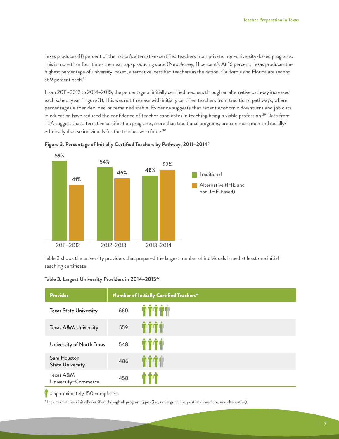Texas produces 48 percent of the nation's alternative-certified teachers from private, non-university-based programs. This is more than four times the next top-producing state (New Jersey, 11 percent). At 16 percent, Texas produces the highest percentage of university-based, alternative-certified teachers in the nation. California and Florida are second at 9 percent each.<sup>28</sup>

From 2011–2012 to 2014–2015, the percentage of initially certified teachers through an alternative pathway increased each school year (Figure 3). This was not the case with initially certified teachers from traditional pathways, where percentages either declined or remained stable. Evidence suggests that recent economic downturns and job cuts in education have reduced the confidence of teacher candidates in teaching being a viable profession.<sup>29</sup> Data from TEA suggest that alternative certification programs, more than traditional programs, prepare more men and racially/ ethnically diverse individuals for the teacher workforce.<sup>30</sup>





Table 3 shows the university providers that prepared the largest number of individuals issued at least one initial teaching certificate.

| Table 3. Largest University Providers in 2014–2015 <sup>32</sup> |  |  |  |  |  |
|------------------------------------------------------------------|--|--|--|--|--|
|------------------------------------------------------------------|--|--|--|--|--|

| Provider                               |     | Number of Initially Certified Teachers*                                                  |
|----------------------------------------|-----|------------------------------------------------------------------------------------------|
| <b>Texas State University</b>          | 660 | <b>TTTTT</b>                                                                             |
| Texas A&M University                   | 559 | חת המיוחדיה ה                                                                            |
| University of North Texas              | 548 |                                                                                          |
| Sam Houston<br><b>State University</b> | 486 | , , , , , , , , , , ,                                                                    |
| Texas A&M<br>University-Commerce       | 458 | $\bullet\hspace{0.4mm}\bullet\hspace{0.4mm}\bullet\hspace{0.4mm}$<br><b>The Light Co</b> |

 $\| \cdot \|$  = approximately 150 completers

\* Includes teachers initially certified through all program types (i.e., undergraduate, postbaccalaureate, and alternative).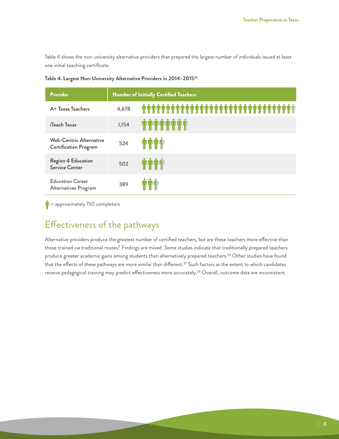Table 4 shows the non-university alternative providers that prepared the largest number of individuals issued at least one initial teaching certificate.

| <b>Provider</b>                                         | <b>Number of Initially Certified Teachers</b> |                             |  |  |  |  |
|---------------------------------------------------------|-----------------------------------------------|-----------------------------|--|--|--|--|
| A+ Texas Teachers                                       | 4,678                                         | ٠<br>-10                    |  |  |  |  |
| iTeach Texas                                            | 1,154                                         | ی ی بی بی بی بی بی بی بی    |  |  |  |  |
| Web-Centric Alternative<br><b>Certification Program</b> | 524                                           | <b>IT LITTLE THE LITTLE</b> |  |  |  |  |
| Region 4 Education<br>Service Center                    | 502                                           | a a an am an a              |  |  |  |  |
| <b>Education Career</b><br>Alternatives Program         | 389                                           | ۰<br>ה היה היה              |  |  |  |  |

**Table 4. Largest Non-University Alternative Providers in 2014–201533**

 $\mathbf{r}$  = approximately 150 completers

### Effectiveness of the pathways

Alternative providers produce the greatest number of certified teachers, but are these teachers more effective than those trained via traditional routes? Findings are mixed. Some studies indicate that traditionally prepared teachers produce greater academic gains among students than alternatively prepared teachers.<sup>34</sup> Other studies have found that the effects of these pathways are more similar than different.<sup>35</sup> Such factors as the extent to which candidates receive pedagogical training may predict effectiveness more accurately.<sup>36</sup> Overall, outcome data are inconsistent.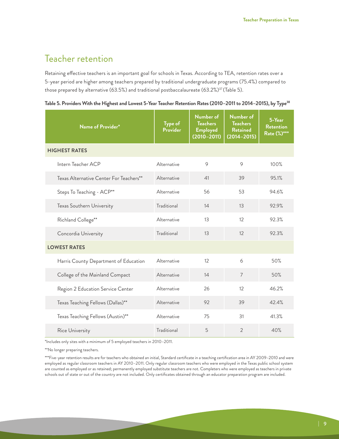### Teacher retention

Retaining effective teachers is an important goal for schools in Texas. According to TEA, retention rates over a 5-year period are higher among teachers prepared by traditional undergraduate programs (75.4%) compared to those prepared by alternative (63.5%) and traditional postbaccalaureate (63.2%)<sup>37</sup> (Table 5).

|  |  | Table 5. Providers With the Highest and Lowest 5-Year Teacher Retention Rates (2010–2011 to 2014–2015), by Type <sup>38</sup> |  |  |  |  |  |
|--|--|-------------------------------------------------------------------------------------------------------------------------------|--|--|--|--|--|
|  |  |                                                                                                                               |  |  |  |  |  |

| Name of Provider*                       | Type of<br>Provider | Number of<br><b>Teachers</b><br><b>Employed</b><br>$(2010 - 2011)$ | Number of<br><b>Teachers</b><br><b>Retained</b><br>$(2014 - 2015)$ | 5-Year<br><b>Retention</b><br>Rate (%)*** |  |
|-----------------------------------------|---------------------|--------------------------------------------------------------------|--------------------------------------------------------------------|-------------------------------------------|--|
| <b>HIGHEST RATES</b>                    |                     |                                                                    |                                                                    |                                           |  |
| Intern Teacher ACP                      | Alternative         | 9                                                                  | $\circ$                                                            | 100%                                      |  |
| Texas Alternative Center For Teachers** | Alternative         | 41                                                                 | 39                                                                 | 95.1%                                     |  |
| Steps To Teaching - ACP**               | Alternative         | 56                                                                 | 53                                                                 | 94.6%                                     |  |
| Texas Southern University               | Traditional         | 14                                                                 | 13                                                                 | 92.9%                                     |  |
| Richland College**                      | Alternative         | 13                                                                 | 12                                                                 | 92.3%                                     |  |
| Concordia University                    | Traditional         | 13                                                                 | 12                                                                 | 92.3%                                     |  |
| <b>LOWEST RATES</b>                     |                     |                                                                    |                                                                    |                                           |  |
| Harris County Department of Education   | Alternative         | 12                                                                 | 6                                                                  | 50%                                       |  |
| College of the Mainland Compact         | Alternative         | 14                                                                 | $\overline{7}$                                                     | 50%                                       |  |
| Region 2 Education Service Center       | Alternative         | 26                                                                 | 12                                                                 | 46.2%                                     |  |
| Texas Teaching Fellows (Dallas)**       | Alternative         | 92                                                                 | 39                                                                 | 42.4%                                     |  |
| Texas Teaching Fellows (Austin)**       | Alternative         | 75                                                                 | 31                                                                 | 41.3%                                     |  |
| Rice University                         | Traditional         | 5                                                                  | $\overline{2}$                                                     | 40%                                       |  |

\*Includes only sites with a minimum of 5 employed teachers in 2010–2011.

\*\*No longer preparing teachers.

\*\*\*Five-year retention results are for teachers who obtained an initial, Standard certificate in a teaching certification area in AY 2009–2010 and were employed as regular classroom teachers in AY 2010–2011. Only regular classroom teachers who were employed in the Texas public school system are counted as employed or as retained; permanently employed substitute teachers are not. Completers who were employed as teachers in private schools out of state or out of the country are not included. Only certificates obtained through an educator preparation program are included.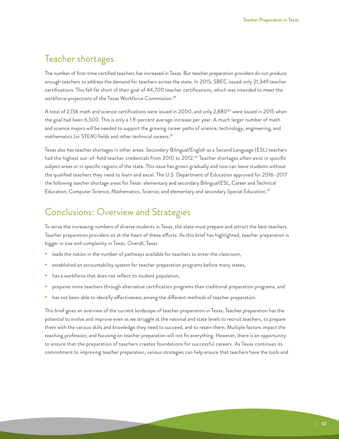### Teacher shortages

The number of first-time certified teachers has increased in Texas. But teacher preparation providers do not produce enough teachers to address the demand for teachers across the state. In 2015, SBEC issued only 21,349 teacher certifications. This fell far short of their goal of 44,700 teacher certifications, which was intended to meet the workforce projections of the Texas Workforce Commission.39

A total of 2,156 math and science certifications were issued in 2000, and only 2,880<sup>40</sup> were issued in 2015 when the goal had been 6,500. This is only a 1.9-percent average increase per year. A much larger number of math and science majors will be needed to support the growing career paths of science, technology, engineering, and mathematics (or STEM) fields and other technical careers.<sup>41</sup>

Texas also has teacher shortages in other areas. Secondary Bilingual/English as a Second Language (ESL) teachers had the highest out-of-field teacher credentials from 2010 to 2012.<sup>42</sup> Teacher shortages often exist in specific subject areas or in specific regions of the state. This issue has grown gradually and now can leave students without the qualified teachers they need to learn and excel. The U.S. Department of Education approved for 2016–2017 the following teacher shortage areas for Texas: elementary and secondary Bilingual/ESL, Career and Technical Education, Computer Science, Mathematics, Science, and elementary and secondary Special Education.<sup>43</sup>

### Conclusions: Overview and Strategies

To serve the increasing numbers of diverse students in Texas, the state must prepare and attract the best teachers. Teacher preparation providers sit at the heart of these efforts. As this brief has highlighted, teacher preparation is bigger in size and complexity in Texas. Overall, Texas

- **If all the nation in the number of pathways available for teachers to enter the classroom,**
- established an accountability system for teacher preparation programs before many states,
- has a workforce that does not reflect its student population,
- prepares more teachers through alternative certification programs than traditional preparation programs, and
- has not been able to identify effectiveness among the different methods of teacher preparation.

This brief gives an overview of the current landscape of teacher preparation in Texas. Teacher preparation has the potential to evolve and improve even as we struggle at the national and state levels to recruit teachers, to prepare them with the various skills and knowledge they need to succeed, and to retain them. Multiple factors impact the teaching profession, and focusing on teacher preparation will not fix everything. However, there is an opportunity to ensure that the preparation of teachers creates foundations for successful careers. As Texas continues its commitment to improving teacher preparation, various strategies can help ensure that teachers have the tools and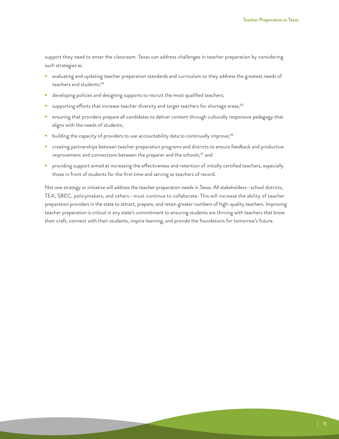support they need to enter the classroom. Texas can address challenges in teacher preparation by considering such strategies as

- evaluating and updating teacher preparation standards and curriculum so they address the greatest needs of teachers and students;<sup>44</sup>
- **developing policies and designing supports to recruit the most qualified teachers;**
- supporting efforts that increase teacher diversity and target teachers for shortage areas;<sup>45</sup>
- **EXECT** ensuring that providers prepare all candidates to deliver content through culturally responsive pedagogy that aligns with the needs of students;
- **building the capacity of providers to use accountability data to continually improve;**<sup>46</sup>
- creating partnerships between teacher preparation programs and districts to ensure feedback and productive improvement and connections between the preparer and the schools;<sup>47</sup> and
- **Providing support aimed at increasing the effectiveness and retention of initially certified teachers, especially** those in front of students for the first time and serving as teachers of record.

Not one strategy or initiative will address the teacher preparation needs in Texas. All stakeholders—school districts, TEA, SBEC, policymakers, and others—must continue to collaborate. This will increase the ability of teacher preparation providers in the state to attract, prepare, and retain greater numbers of high-quality teachers. Improving teacher preparation is critical in any state's commitment to ensuring students are thriving with teachers that know their craft, connect with their students, inspire learning, and provide the foundations for tomorrow's future.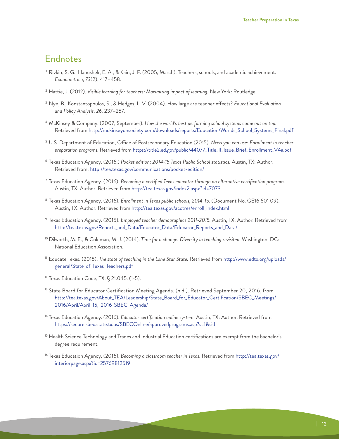### Endnotes

- <sup>1</sup> Rivkin, S. G., Hanushek, E. A., & Kain, J. F. (2005, March). Teachers, schools, and academic achievement. *Econometrica, 73*(2), 417–458.
- <sup>2</sup> Hattie, J. (2012). *Visible learning for teachers: Maximizing impact of learning.* New York: Routledge.
- <sup>3</sup> Nye, B., Konstantopoulos, S., & Hedges, L. V. (2004). How large are teacher effects? *Educational Evaluation and Policy Analysis, 26,* 237–257.
- <sup>4</sup> McKinsey & Company. (2007, September). *How the world's best performing school systems came out on top.* Retrieved from [http://mckinseyonsociety.com/downloads/reports/Education/Worlds\\_School\\_Systems\\_Final.pdf](http://mckinseyonsociety.com/downloads/reports/Education/Worlds_School_Systems_Final.pdf)
- <sup>5</sup> U.S. Department of Education, Office of Postsecondary Education (2015). *News you can use: Enrollment in teacher preparation programs.* Retrieved from [https://title2.ed.gov/public/44077\\_Title\\_II\\_Issue\\_Brief\\_Enrollment\\_V4a.pdf](https://title2.ed.gov/public/44077_Title_II_Issue_Brief_Enrollment_V4a.pdf)
- <sup>6</sup> Texas Education Agency. (2016.) *Pocket edition; 2014-15 Texas Public School statistics.* Austin, TX: Author. Retrieved from: <http://tea.texas.gov/communications/pocket-edition/>
- <sup>7</sup> Texas Education Agency. (2016). *Becoming a certified Texas educator through an alternative certification program.* Austin, TX: Author. Retrieved from <http://tea.texas.gov/index2.aspx?id=7073>
- <sup>8</sup> Texas Education Agency. (2016). *Enrollment in Texas public schools, 2014-15.* (Document No. GE16 601 09). Austin, TX: Author. Retrieved from [http://tea.texas.gov/acctres/enroll\\_index.html](http://tea.texas.gov/acctres/enroll_index.html)
- <sup>9</sup> Texas Education Agency. (2015). *Employed teacher demographics 2011-2015.* Austin, TX: Author. Retrieved from [http://tea.texas.gov/Reports\\_and\\_Data/Educator\\_Data/Educator\\_Reports\\_and\\_Data/](http://tea.texas.gov/Reports_and_Data/Educator_Data/Educator_Reports_and_Data/)
- <sup>10</sup> Dilworth, M. E., & Coleman, M. J. (2014). *Time for a change: Diversity in teaching revisited.* Washington, DC: National Education Association.
- <sup>11</sup> Educate Texas. (2015). *The state of teaching in the Lone Star State.* Retrieved from [http://www.edtx.org/uploads/](http://www.edtx.org/uploads/general/State_of_Texas_Teachers.pdf) [general/State\\_of\\_Texas\\_Teachers.pdf](http://www.edtx.org/uploads/general/State_of_Texas_Teachers.pdf)
- <sup>12</sup> Texas Education Code, TX. § 21.045. (1-5).
- <sup>13</sup> State Board for Educator Certification Meeting Agenda. (n.d.). Retrieved September 20, 2016, from [http://tea.texas.gov/About\\_TEA/Leadership/State\\_Board\\_for\\_Educator\\_Certification/SBEC\\_Meetings/](http://tea.texas.gov/About_TEA/Leadership/State_Board_for_Educator_Certification/SBEC_Meetings/2016/April/April_15,_2016_SBEC_Agenda/) [2016/April/April\\_15,\\_2016\\_SBEC\\_Agenda/](http://tea.texas.gov/About_TEA/Leadership/State_Board_for_Educator_Certification/SBEC_Meetings/2016/April/April_15,_2016_SBEC_Agenda/)
- <sup>14</sup> Texas Education Agency. (2016). *Educator certification online system.* Austin, TX: Author. Retrieved from <https://secure.sbec.state.tx.us/SBECOnline/approvedprograms.asp?s=1&sid>
- <sup>15</sup> Health Science Technology and Trades and Industrial Education certifications are exempt from the bachelor's degree requirement.
- <sup>16</sup> Texas Education Agency. (2016). *Becoming a classroom teacher in Texas.* Retrieved from [http://tea.texas.gov/](http://tea.texas.gov/interiorpage.aspx?id=25769812519) [interiorpage.aspx?id=25769812519](http://tea.texas.gov/interiorpage.aspx?id=25769812519)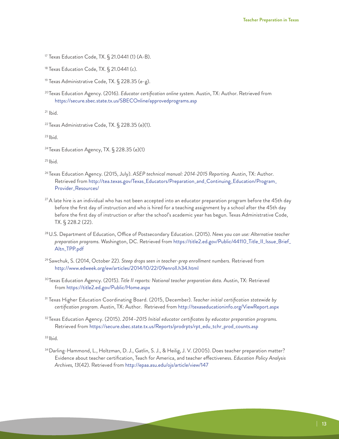<sup>17</sup> Texas Education Code, TX. § 21.0441 (1) (A-B).

 $18$  Texas Education Code, TX. § 21.0441 (c).

<sup>19</sup> Texas Administrative Code, TX. § 228.35 (e-g).

20Texas Education Agency. (2016). *Educator certification online system.* Austin, TX: Author. Retrieved from <https://secure.sbec.state.tx.us/SBECOnline/approvedprograms.asp>

 $21$  Ibid.

<sup>22</sup> Texas Administrative Code, TX. § 228.35 (e)(1).

<sup>23</sup> Ibid.

<sup>24</sup> Texas Education Agency, TX. § 228.35 (e)(1)

 $25$  Ibid.

- <sup>26</sup> Texas Education Agency. (2015, July). *ASEP technical manual: 2014-2015 Reporting.* Austin, TX: Author. Retrieved from [http://tea.texas.gov/Texas\\_Educators/Preparation\\_and\\_Continuing\\_Education/Program\\_](http://tea.texas.gov/Texas_Educators/Preparation_and_Continuing_Education/Program_Provider_Resources/) [Provider\\_Resources/](http://tea.texas.gov/Texas_Educators/Preparation_and_Continuing_Education/Program_Provider_Resources/)
- $^{27}$ A late hire is an individual who has not been accepted into an educator preparation program before the 45th day [before the first day of instruction and who is hired for a teaching assignment by a school after the 45th day](http://tea.texas.gov/Texas_Educators/Preparation_and_Continuing_Education/Program_Provider_Resources/)  [before the first day of instruction or after the school's academic year has begun. Texas Administrative Code,](http://tea.texas.gov/Texas_Educators/Preparation_and_Continuing_Education/Program_Provider_Resources/)  [TX. § 228.2 \(22\).](http://tea.texas.gov/Texas_Educators/Preparation_and_Continuing_Education/Program_Provider_Resources/)
- 28U.S. Department of Education, Office of Postsecondary Education. (2015). *News you can use: Alternative teacher preparation programs.* Washington, DC. Retrieved from [https://title2.ed.gov/Public/44110\\_Title\\_II\\_Issue\\_Brief\\_](https://title2.ed.gov/Public/44110_Title_II_Issue_Brief_Altn_TPP.pdf) [Altn\\_TPP.pdf](https://title2.ed.gov/Public/44110_Title_II_Issue_Brief_Altn_TPP.pdf)
- <sup>29</sup> Sawchuk, S. (2014, October 22). *Steep drops seen in teacher-prep enrollment numbers.* Retrieved from <http://www.edweek.org/ew/articles/2014/10/22/09enroll.h34.html>
- 30Texas Education Agency. (2015). *Title II reports: National teacher preparation data.* Austin, TX: Retrieved from<https://title2.ed.gov/Public/Home.aspx>
- <sup>31</sup> Texas Higher Education Coordinating Board. (2015, December). *Teacher initial certification statewide by certification program.* Austin, TX: Author. Retrieved from <http://texaseducationinfo.org/ViewReport.aspx>
- <sup>32</sup> Texas Education Agency. (2015). *2014–2015 Initial educator certificates by educator preparation programs.* Retrieved from [https://secure.sbec.state.tx.us/Reports/prodrpts/rpt\\_edu\\_tchr\\_prod\\_counts.asp](https://secure.sbec.state.tx.us/Reports/prodrpts/rpt_edu_tchr_prod_counts.asp)

 $33$  Ibid.

34Darling-Hammond, L., Holtzman, D. J., Gatlin, S. J., & Heilig, J. V. (2005). Does teacher preparation matter? Evidence about teacher certification, Teach for America, and teacher effectiveness. *Education Policy Analysis Archives, 13*(42). Retrieved from<http://epaa.asu.edu/ojs/article/view/147>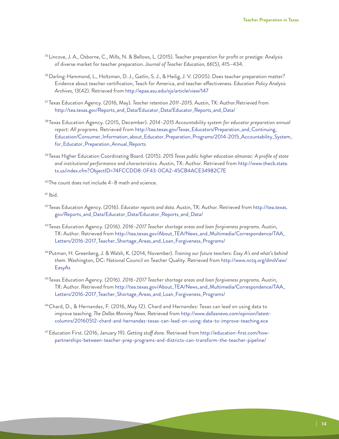- <sup>35</sup> Lincove, J. A., Osborne, C., Mills, N. & Bellows, L. (2015). Teacher preparation for profit or prestige: Analysis of diverse market for teacher preparation. *Journal of Teacher Education, 66*(5), 415–434.
- 36Darling-Hammond, L., Holtzman, D. J., Gatlin, S. J., & Heilig, J. V. (2005). Does teacher preparation matter? Evidence about teacher certification, Teach for America, and teacher effectiveness. *Education Policy Analysis Archives, 13*(42). Retrieved from<http://epaa.asu.edu/ojs/article/view/147>
- <sup>37</sup> Texas Education Agency. (2016, May). *Teacher retention 2011–2015.* Austin, TX: Author.Retrieved from [http://tea.texas.gov/Reports\\_and\\_Data/Educator\\_Data/Educator\\_Reports\\_and\\_Data/](http://tea.texas.gov/Reports_and_Data/Educator_Data/Educator_Reports_and_Data/)
- 38Texas Education Agency. (2015, December). *2014–2015 Accountability system for educator preparation annual report: All programs.* Retrieved from [http://tea.texas.gov/Texas\\_Educators/Preparation\\_and\\_Continuing\\_](http://tea.texas.gov/Texas_Educators/Preparation_and_Continuing_Education/Consumer_Information_about_Educator_Preparation_Programs/2014-2015_Accountability_System_for_Educator_Preparation_Annual_Reports) [Education/Consumer\\_Information\\_about\\_Educator\\_Preparation\\_Programs/2014-2015\\_Accountability\\_System\\_](http://tea.texas.gov/Texas_Educators/Preparation_and_Continuing_Education/Consumer_Information_about_Educator_Preparation_Programs/2014-2015_Accountability_System_for_Educator_Preparation_Annual_Reports) [for\\_Educator\\_Preparation\\_Annual\\_Reports](http://tea.texas.gov/Texas_Educators/Preparation_and_Continuing_Education/Consumer_Information_about_Educator_Preparation_Programs/2014-2015_Accountability_System_for_Educator_Preparation_Annual_Reports)
- <sup>39</sup> Texas Higher Education Coordinating Board. (2015). *2015 Texas public higher education almanac: A profile of state and institutional performance and characteristics.* Austin, TX: Author. Retrieved from [http://www.thecb.state.](http://www.thecb.state.tx.us/index.cfm?ObjectID=74FCCDD8-0F43-0CA2-45CB4ACE34982C7E) [tx.us/index.cfm?ObjectID=74FCCDD8-0F43-0CA2-45CB4ACE34982C7E](http://www.thecb.state.tx.us/index.cfm?ObjectID=74FCCDD8-0F43-0CA2-45CB4ACE34982C7E)

40The count does not include 4–8 math and science.

 $41$  Ibid.

- <sup>42</sup> Texas Education Agency. (2016). *Educator reports and data.* Austin, TX: Author. Retrieved from [http://tea.texas.](http://tea.texas.gov/Reports_and_Data/Educator_Data/Educator_Reports_and_Data/) [gov/Reports\\_and\\_Data/Educator\\_Data/Educator\\_Reports\\_and\\_Data/](http://tea.texas.gov/Reports_and_Data/Educator_Data/Educator_Reports_and_Data/)
- 43Texas Education Agency. (2016). *2016–2017 Teacher shortage areas and loan forgiveness programs.* Austin, TX: Author. Retrieved from [http://tea.texas.gov/About\\_TEA/News\\_and\\_Multimedia/Correspondence/TAA\\_](http://tea.texas.gov/About_TEA/News_and_Multimedia/Correspondence/TAA_Letters/2016-2017_Teacher_Shortage_Areas_and_Loan_Forgiveness_Programs/) [Letters/2016-2017\\_Teacher\\_Shortage\\_Areas\\_and\\_Loan\\_Forgiveness\\_Programs/](http://tea.texas.gov/About_TEA/News_and_Multimedia/Correspondence/TAA_Letters/2016-2017_Teacher_Shortage_Areas_and_Loan_Forgiveness_Programs/)
- 44Putman, H. Greenberg, J. & Walsh, K. (2014, November). *Training our future teachers: Easy A's and what's behind them.* Washington, DC: National Council on Teacher Quality. Retrieved from [http://www.nctq.org/dmsView/](http://www.nctq.org/dmsView/EasyAs) [EasyAs](http://www.nctq.org/dmsView/EasyAs)
- 45Texas Education Agency. (2016). *2016–2017 Teacher shortage areas and loan forgiveness programs.* Austin, TX: Author. Retrieved from [http://tea.texas.gov/About\\_TEA/News\\_and\\_Multimedia/Correspondence/TAA\\_](http://tea.texas.gov/About_TEA/News_and_Multimedia/Correspondence/TAA_Letters/2016-2017_Teacher_Shortage_Areas_and_Loan_Forgiveness_Programs/) [Letters/2016-2017\\_Teacher\\_Shortage\\_Areas\\_and\\_Loan\\_Forgiveness\\_Programs/](http://tea.texas.gov/About_TEA/News_and_Multimedia/Correspondence/TAA_Letters/2016-2017_Teacher_Shortage_Areas_and_Loan_Forgiveness_Programs/)
- 46Chard, D., & Hernandez, F. (2016, May 12). Chard and Hernandez: Texas can lead on using data to improve teaching. *The Dallas Morning News.* Retrieved from [http://www.dallasnews.com/opinion/latest](http://www.dallasnews.com/opinion/latest-columns/20160512-chard-and-hernandez-texas-can-lead-on-using-data-to-improve-teaching.ece)[columns/20160512-chard-and-hernandez-texas-can-lead-on-using-data-to-improve-teaching.ece](http://www.dallasnews.com/opinion/latest-columns/20160512-chard-and-hernandez-texas-can-lead-on-using-data-to-improve-teaching.ece)
- 47Education First. (2016, January 19). *Getting stuff done.* Retrieved from [http://education-first.com/how](http://education-first.com/how-partnerships-between-teacher-prep-programs-and-districts-can-transform-the-teacher-pipeline/)[partnerships-between-teacher-prep-programs-and-districts-can-transform-the-teacher-pipeline/](http://education-first.com/how-partnerships-between-teacher-prep-programs-and-districts-can-transform-the-teacher-pipeline/)